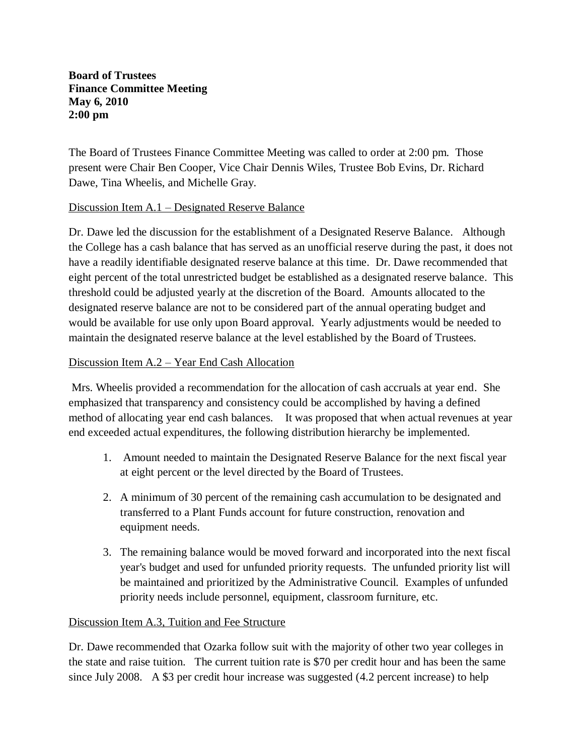### **Board of Trustees Finance Committee Meeting May 6, 2010 2:00 pm**

The Board of Trustees Finance Committee Meeting was called to order at 2:00 pm. Those present were Chair Ben Cooper, Vice Chair Dennis Wiles, Trustee Bob Evins, Dr. Richard Dawe, Tina Wheelis, and Michelle Gray.

## Discussion Item A.1 – Designated Reserve Balance

Dr. Dawe led the discussion for the establishment of a Designated Reserve Balance. Although the College has a cash balance that has served as an unofficial reserve during the past, it does not have a readily identifiable designated reserve balance at this time. Dr. Dawe recommended that eight percent of the total unrestricted budget be established as a designated reserve balance. This threshold could be adjusted yearly at the discretion of the Board. Amounts allocated to the designated reserve balance are not to be considered part of the annual operating budget and would be available for use only upon Board approval. Yearly adjustments would be needed to maintain the designated reserve balance at the level established by the Board of Trustees.

### Discussion Item A.2 – Year End Cash Allocation

Mrs. Wheelis provided a recommendation for the allocation of cash accruals at year end. She emphasized that transparency and consistency could be accomplished by having a defined method of allocating year end cash balances. It was proposed that when actual revenues at year end exceeded actual expenditures, the following distribution hierarchy be implemented.

- 1. Amount needed to maintain the Designated Reserve Balance for the next fiscal year at eight percent or the level directed by the Board of Trustees.
- 2. A minimum of 30 percent of the remaining cash accumulation to be designated and transferred to a Plant Funds account for future construction, renovation and equipment needs.
- 3. The remaining balance would be moved forward and incorporated into the next fiscal year's budget and used for unfunded priority requests. The unfunded priority list will be maintained and prioritized by the Administrative Council. Examples of unfunded priority needs include personnel, equipment, classroom furniture, etc.

#### Discussion Item A.3, Tuition and Fee Structure

Dr. Dawe recommended that Ozarka follow suit with the majority of other two year colleges in the state and raise tuition. The current tuition rate is \$70 per credit hour and has been the same since July 2008. A \$3 per credit hour increase was suggested (4.2 percent increase) to help